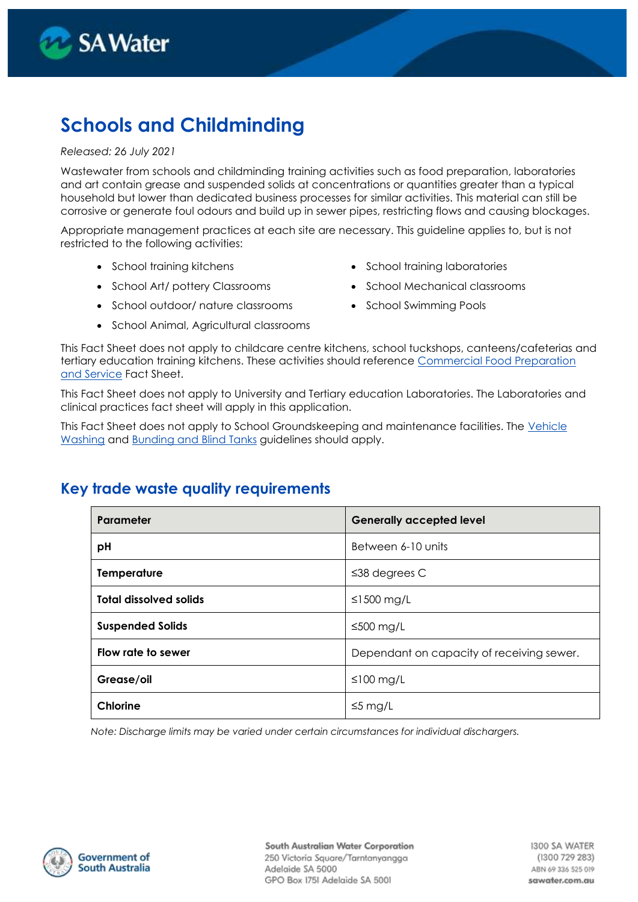

# **Schools and Childminding**

#### *Released: 26 July 2021*

Wastewater from schools and childminding training activities such as food preparation, laboratories and art contain grease and suspended solids at concentrations or quantities greater than a typical household but lower than dedicated business processes for similar activities. This material can still be corrosive or generate foul odours and build up in sewer pipes, restricting flows and causing blockages.

Appropriate management practices at each site are necessary. This guideline applies to, but is not restricted to the following activities:

- 
- 
- School outdoor/ nature classrooms School Swimming Pools
- School Animal, Agricultural classrooms
- School training kitchens School training laboratories
- School Art/ pottery Classrooms School Mechanical classrooms
	-

This Fact Sheet does not apply to childcare centre kitchens, school tuckshops, canteens/cafeterias and tertiary education training kitchens. These activities should reference [Commercial Food Preparation](https://www.sawater.com.au/my-business/trade-waste/trade-waste-management/trade-waste-guidelines-and-fact-sheets)  [and Service](https://www.sawater.com.au/my-business/trade-waste/trade-waste-management/trade-waste-guidelines-and-fact-sheets) Fact Sheet.

This Fact Sheet does not apply to University and Tertiary education Laboratories. The Laboratories and clinical practices fact sheet will apply in this application.

This Fact Sheet does not apply to School Groundskeeping and maintenance facilities. The [Vehicle](https://www.sawater.com.au/my-business/trade-waste/trade-waste-management/trade-waste-guidelines-and-fact-sheets)  [Washing](https://www.sawater.com.au/my-business/trade-waste/trade-waste-management/trade-waste-guidelines-and-fact-sheets) and [Bunding and](https://www.sawater.com.au/my-business/trade-waste/trade-waste-management/trade-waste-guidelines-and-fact-sheets) Blind Tanks guidelines should apply.

### **Key trade waste quality requirements**

| Parameter                     | <b>Generally accepted level</b>           |
|-------------------------------|-------------------------------------------|
| pH                            | Between 6-10 units                        |
| <b>Temperature</b>            | $\leq$ 38 degrees C                       |
| <b>Total dissolved solids</b> | ≤1500 mg/L                                |
| <b>Suspended Solids</b>       | $\leq 500$ mg/L                           |
| Flow rate to sewer            | Dependant on capacity of receiving sewer. |
| Grease/oil                    | $\leq 100$ mg/L                           |
| <b>Chlorine</b>               | $\leq$ 5 mg/L                             |

*Note: Discharge limits may be varied under certain circumstances for individual dischargers.*

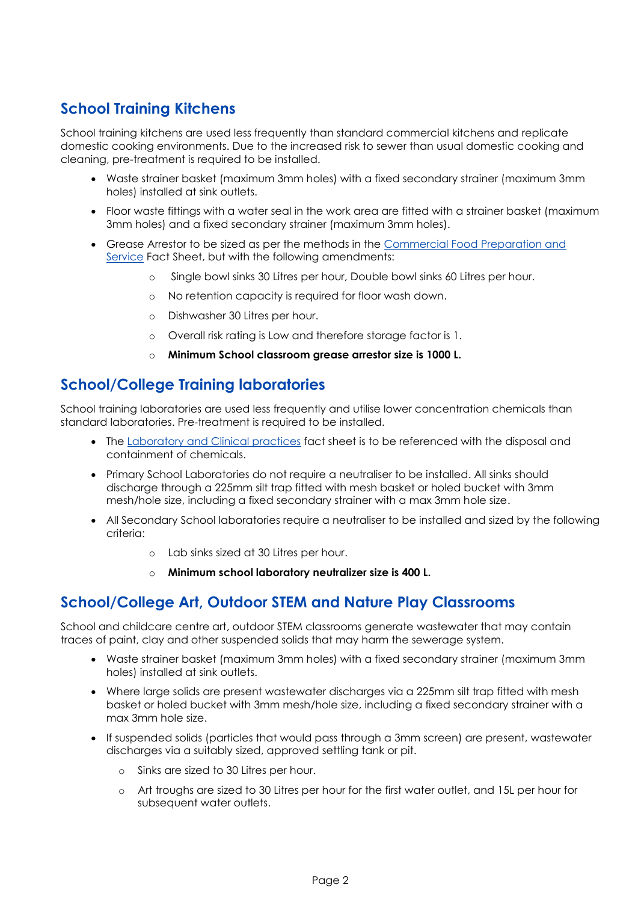### **School Training Kitchens**

School training kitchens are used less frequently than standard commercial kitchens and replicate domestic cooking environments. Due to the increased risk to sewer than usual domestic cooking and cleaning, pre-treatment is required to be installed.

- Waste strainer basket (maximum 3mm holes) with a fixed secondary strainer (maximum 3mm holes) installed at sink outlets.
- Floor waste fittings with a water seal in the work area are fitted with a strainer basket (maximum 3mm holes) and a fixed secondary strainer (maximum 3mm holes).
- Grease Arrestor to be sized as per the methods in the [Commercial Food Preparation and](https://www.sawater.com.au/my-business/trade-waste/trade-waste-management/trade-waste-guidelines-and-fact-sheets)  [Service](https://www.sawater.com.au/my-business/trade-waste/trade-waste-management/trade-waste-guidelines-and-fact-sheets) Fact Sheet, but with the following amendments:
	- o Single bowl sinks 30 Litres per hour, Double bowl sinks 60 Litres per hour.
	- o No retention capacity is required for floor wash down.
	- o Dishwasher 30 Litres per hour.
	- o Overall risk rating is Low and therefore storage factor is 1.
	- o **Minimum School classroom grease arrestor size is 1000 L.**

#### **School/College Training laboratories**

School training laboratories are used less frequently and utilise lower concentration chemicals than standard laboratories. Pre-treatment is required to be installed.

- The [Laboratory and Clinical practices](https://www.sawater.com.au/my-business/trade-waste/trade-waste-management/trade-waste-guidelines-and-fact-sheets) fact sheet is to be referenced with the disposal and containment of chemicals.
- Primary School Laboratories do not require a neutraliser to be installed. All sinks should discharge through a 225mm silt trap fitted with mesh basket or holed bucket with 3mm mesh/hole size, including a fixed secondary strainer with a max 3mm hole size.
- All Secondary School laboratories require a neutraliser to be installed and sized by the following criteria:
	- o Lab sinks sized at 30 Litres per hour.
	- o **Minimum school laboratory neutralizer size is 400 L.**

#### **School/College Art, Outdoor STEM and Nature Play Classrooms**

School and childcare centre art, outdoor STEM classrooms generate wastewater that may contain traces of paint, clay and other suspended solids that may harm the sewerage system.

- Waste strainer basket (maximum 3mm holes) with a fixed secondary strainer (maximum 3mm holes) installed at sink outlets.
- Where large solids are present wastewater discharges via a 225mm silt trap fitted with mesh basket or holed bucket with 3mm mesh/hole size, including a fixed secondary strainer with a max 3mm hole size.
- If suspended solids (particles that would pass through a 3mm screen) are present, wastewater discharges via a suitably sized, approved settling tank or pit.
	- o Sinks are sized to 30 Litres per hour.
	- o Art troughs are sized to 30 Litres per hour for the first water outlet, and 15L per hour for subsequent water outlets.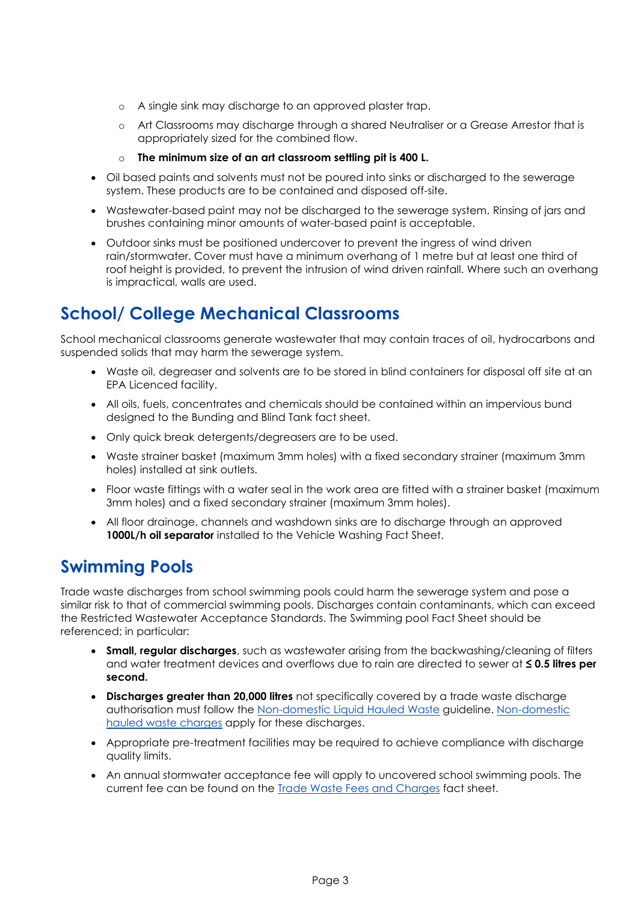- o A single sink may discharge to an approved plaster trap.
- o Art Classrooms may discharge through a shared Neutraliser or a Grease Arrestor that is appropriately sized for the combined flow.
- o **The minimum size of an art classroom settling pit is 400 L.**
- Oil based paints and solvents must not be poured into sinks or discharged to the sewerage system. These products are to be contained and disposed off-site.
- Wastewater-based paint may not be discharged to the sewerage system. Rinsing of jars and brushes containing minor amounts of water-based paint is acceptable.
- Outdoor sinks must be positioned undercover to prevent the ingress of wind driven rain/stormwater. Cover must have a minimum overhang of 1 metre but at least one third of roof height is provided, to prevent the intrusion of wind driven rainfall. Where such an overhang is impractical, walls are used.

## **School/ College Mechanical Classrooms**

School mechanical classrooms generate wastewater that may contain traces of oil, hydrocarbons and suspended solids that may harm the sewerage system.

- Waste oil, degreaser and solvents are to be stored in blind containers for disposal off site at an EPA Licenced facility.
- All oils, fuels, concentrates and chemicals should be contained within an impervious bund designed to the Bunding and Blind Tank fact sheet.
- Only quick break detergents/degreasers are to be used.
- Waste strainer basket (maximum 3mm holes) with a fixed secondary strainer (maximum 3mm holes) installed at sink outlets.
- Floor waste fittings with a water seal in the work area are fitted with a strainer basket (maximum 3mm holes) and a fixed secondary strainer (maximum 3mm holes).
- All floor drainage, channels and washdown sinks are to discharge through an approved 1000L/h oil separator installed to the Vehicle Washing Fact Sheet.

### **Swimming Pools**

Trade waste discharges from school swimming pools could harm the sewerage system and pose a similar risk to that of commercial swimming pools. Discharges contain contaminants, which can exceed the Restricted Wastewater Acceptance Standards. The Swimming pool Fact Sheet should be referenced; in particular:

- **Small, regular discharges**, such as wastewater arising from the backwashing/cleaning of filters and water treatment devices and overflows due to rain are directed to sewer at **≤ 0.5 litres per second.**
- **Discharges greater than 20,000 litres** not specifically covered by a trade waste discharge authorisation must follow the [Non-domestic Liquid Hauled Waste](https://www.sawater.com.au/__data/assets/pdf_file/0003/520419/Discharging-Non-Domestic-Liquid-Hauled-Waste-Guideline.pdf) guideline. [Non-domestic](https://www.sawater.com.au/my-business/trade-waste/liquid-hauled-waste/liquid-hauled-waste-fees-and-charges)  [hauled waste charges](https://www.sawater.com.au/my-business/trade-waste/liquid-hauled-waste/liquid-hauled-waste-fees-and-charges) apply for these discharges.
- Appropriate pre-treatment facilities may be required to achieve compliance with discharge quality limits.
- An annual stormwater acceptance fee will apply to uncovered school swimming pools. The current fee can be found on the [Trade Waste Fees and Charges](https://www.sawater.com.au/my-business/trade-waste/trade-waste-management/trade-waste-fees-and-charges) fact sheet.